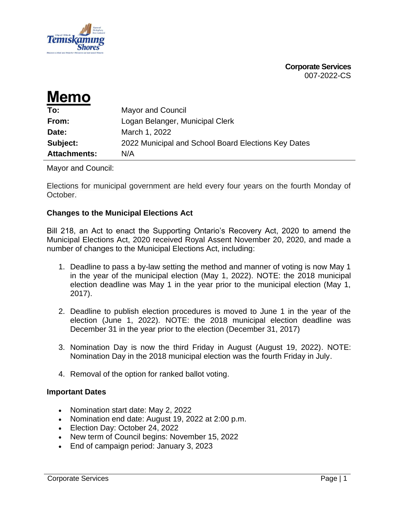

**Corporate Services** 007-2022-CS

| <b>Memo</b>         |                                                     |
|---------------------|-----------------------------------------------------|
| To:                 | <b>Mayor and Council</b>                            |
| From:               | Logan Belanger, Municipal Clerk                     |
| Date:               | March 1, 2022                                       |
| Subject:            | 2022 Municipal and School Board Elections Key Dates |
| <b>Attachments:</b> | N/A                                                 |

Mayor and Council:

Elections for municipal government are held every four years on the fourth Monday of October.

#### **Changes to the Municipal Elections Act**

Bill 218, an Act to enact the Supporting Ontario's Recovery Act, 2020 to amend the Municipal Elections Act, 2020 received Royal Assent November 20, 2020, and made a number of changes to the Municipal Elections Act, including:

- 1. Deadline to pass a by-law setting the method and manner of voting is now May 1 in the year of the municipal election (May 1, 2022). NOTE: the 2018 municipal election deadline was May 1 in the year prior to the municipal election (May 1, 2017).
- 2. Deadline to publish election procedures is moved to June 1 in the year of the election (June 1, 2022). NOTE: the 2018 municipal election deadline was December 31 in the year prior to the election (December 31, 2017)
- 3. Nomination Day is now the third Friday in August (August 19, 2022). NOTE: Nomination Day in the 2018 municipal election was the fourth Friday in July.
- 4. Removal of the option for ranked ballot voting.

#### **Important Dates**

- Nomination start date: May 2, 2022
- Nomination end date: August 19, 2022 at 2:00 p.m.
- Election Day: October 24, 2022
- New term of Council begins: November 15, 2022
- End of campaign period: January 3, 2023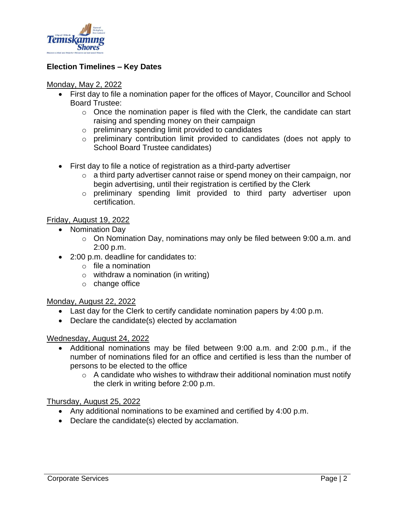

# **Election Timelines – Key Dates**

#### Monday, May 2, 2022

- First day to file a nomination paper for the offices of Mayor, Councillor and School Board Trustee:
	- $\circ$  Once the nomination paper is filed with the Clerk, the candidate can start raising and spending money on their campaign
	- o preliminary spending limit provided to candidates
	- o preliminary contribution limit provided to candidates (does not apply to School Board Trustee candidates)
- First day to file a notice of registration as a third-party advertiser
	- $\circ$  a third party advertiser cannot raise or spend money on their campaign, nor begin advertising, until their registration is certified by the Clerk
	- o preliminary spending limit provided to third party advertiser upon certification.

# Friday, August 19, 2022

- Nomination Day
	- o On Nomination Day, nominations may only be filed between 9:00 a.m. and 2:00 p.m.
- 2:00 p.m. deadline for candidates to:
	- $\circ$  file a nomination
	- $\circ$  withdraw a nomination (in writing)
	- o change office

# Monday, August 22, 2022

- Last day for the Clerk to certify candidate nomination papers by 4:00 p.m.
- Declare the candidate(s) elected by acclamation

# Wednesday, August 24, 2022

- Additional nominations may be filed between 9:00 a.m. and 2:00 p.m., if the number of nominations filed for an office and certified is less than the number of persons to be elected to the office
	- $\circ$  A candidate who wishes to withdraw their additional nomination must notify the clerk in writing before 2:00 p.m.

# Thursday, August 25, 2022

- Any additional nominations to be examined and certified by 4:00 p.m.
- Declare the candidate(s) elected by acclamation.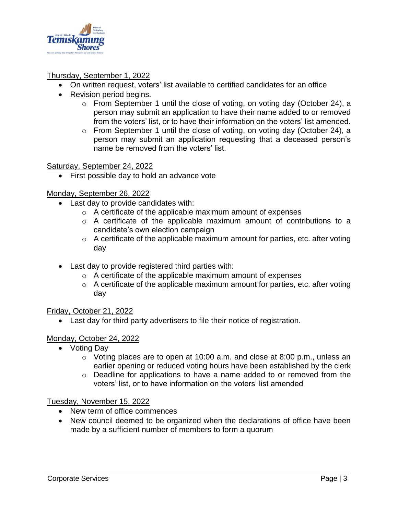

# Thursday, September 1, 2022

- On written request, voters' list available to certified candidates for an office
- Revision period begins.
	- o From September 1 until the close of voting, on voting day (October 24), a person may submit an application to have their name added to or removed from the voters' list, or to have their information on the voters' list amended.
	- o From September 1 until the close of voting, on voting day (October 24), a person may submit an application requesting that a deceased person's name be removed from the voters' list.

#### Saturday, September 24, 2022

First possible day to hold an advance vote

# Monday, September 26, 2022

- Last day to provide candidates with:
	- o A certificate of the applicable maximum amount of expenses
	- o A certificate of the applicable maximum amount of contributions to a candidate's own election campaign
	- $\circ$  A certificate of the applicable maximum amount for parties, etc. after voting day
- Last day to provide registered third parties with:
	- o A certificate of the applicable maximum amount of expenses
	- $\circ$  A certificate of the applicable maximum amount for parties, etc. after voting day

# Friday, October 21, 2022

• Last day for third party advertisers to file their notice of registration.

# Monday, October 24, 2022

- Voting Day
	- o Voting places are to open at 10:00 a.m. and close at 8:00 p.m., unless an earlier opening or reduced voting hours have been established by the clerk
	- o Deadline for applications to have a name added to or removed from the voters' list, or to have information on the voters' list amended

#### Tuesday, November 15, 2022

- New term of office commences
- New council deemed to be organized when the declarations of office have been made by a sufficient number of members to form a quorum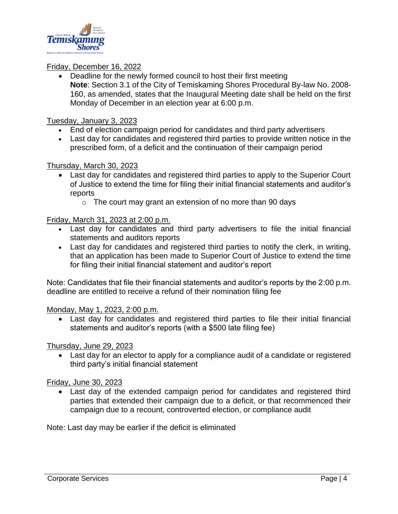

# Friday, December 16, 2022

• Deadline for the newly formed council to host their first meeting **Note**: Section 3.1 of the City of Temiskaming Shores Procedural By-law No. 2008- 160, as amended, states that the Inaugural Meeting date shall be held on the first Monday of December in an election year at 6:00 p.m.

#### Tuesday, January 3, 2023

- End of election campaign period for candidates and third party advertisers
- Last day for candidates and registered third parties to provide written notice in the prescribed form, of a deficit and the continuation of their campaign period

#### Thursday, March 30, 2023

- Last day for candidates and registered third parties to apply to the Superior Court of Justice to extend the time for filing their initial financial statements and auditor's reports
	- o The court may grant an extension of no more than 90 days

#### Friday, March 31, 2023 at 2:00 p.m.

- Last day for candidates and third party advertisers to file the initial financial statements and auditors reports
- Last day for candidates and registered third parties to notify the clerk, in writing, that an application has been made to Superior Court of Justice to extend the time for filing their initial financial statement and auditor's report

Note: Candidates that file their financial statements and auditor's reports by the 2:00 p.m. deadline are entitled to receive a refund of their nomination filing fee

Monday, May 1, 2023, 2:00 p.m.

• Last day for candidates and registered third parties to file their initial financial statements and auditor's reports (with a \$500 late filing fee)

Thursday, June 29, 2023

• Last day for an elector to apply for a compliance audit of a candidate or registered third party's initial financial statement

Friday, June 30, 2023

• Last day of the extended campaign period for candidates and registered third parties that extended their campaign due to a deficit, or that recommenced their campaign due to a recount, controverted election, or compliance audit

Note: Last day may be earlier if the deficit is eliminated